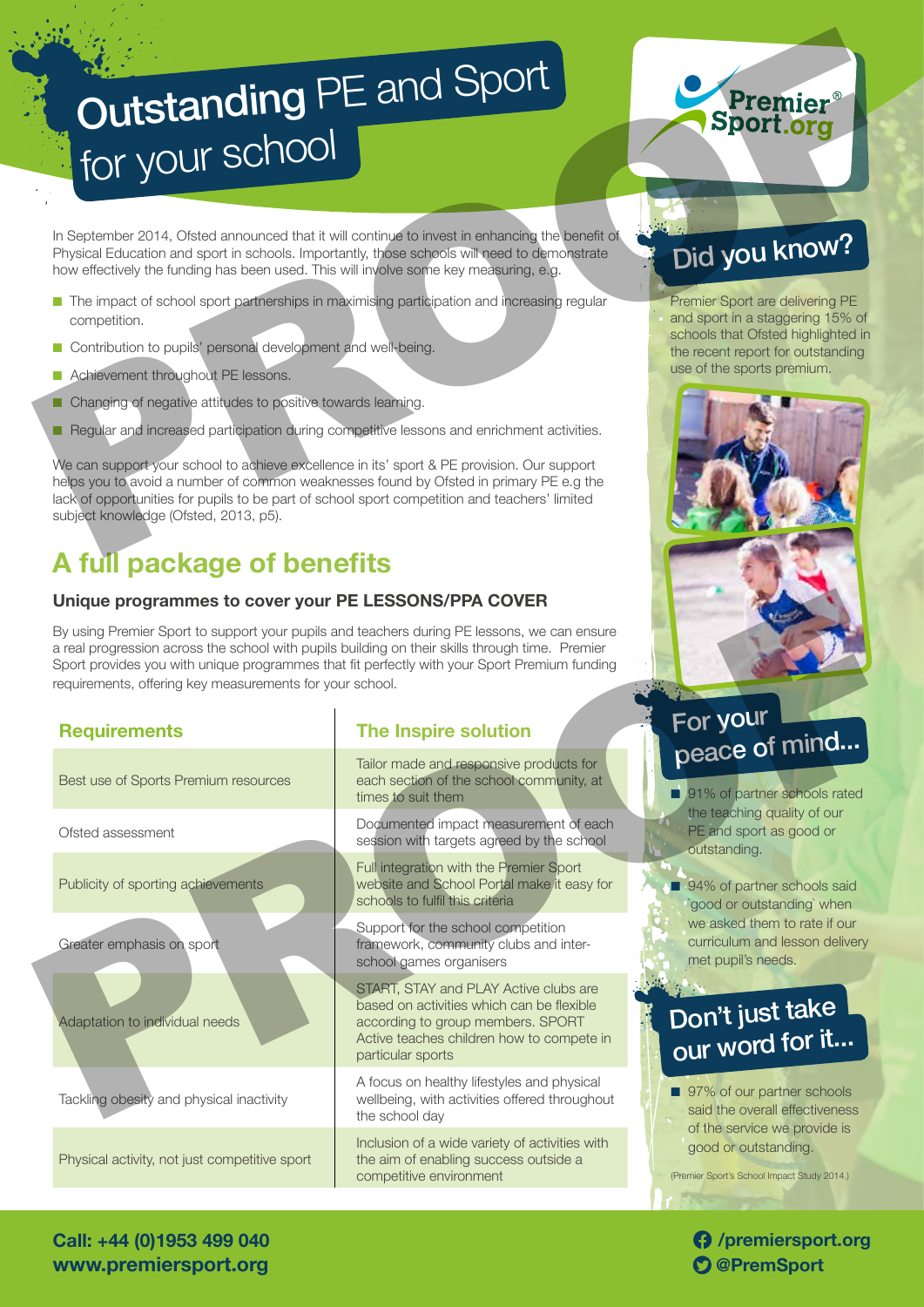# **Outstanding PE and Sport** for your school Sport org<br>
For your school stress and sport of the space of the space of the space of the space of the space of the space of the space of the space of the space of the space of the space of the space of the space of the sp

In September 2014, Ofsted announced that it will continue to invest in enhancing the benefit of Physical Education and sport in schools. Importantly, those schools will need to demonstrate how effectively the funding has been used. This will involve some key measuring, e.g.

- n The impact of school sport partnerships in maximising participation and increasing regular competition.
- **n** Contribution to pupils' personal development and well-being.
- **n** Achievement throughout PE lessons.
- **n** Changing of negative attitudes to positive towards learning.
- **n** Regular and increased participation during competitive lessons and enrichment activities.

We can support your school to achieve excellence in its' sport & PE provision. Our support helps you to avoid a number of common weaknesses found by Ofsted in primary PE e.g the lack of opportunities for pupils to be part of school sport competition and teachers' limited subject knowledge (Ofsted, 2013, p5).

# **A full package of benefits**

### **Unique programmes to cover your PE LESSONS/PPA COVER**

|  | Unique programmes to cover your PE LESSONS/PPA COVER                                                                                                        |                                                                                                                                                                                             |                                                                                              |
|--|-------------------------------------------------------------------------------------------------------------------------------------------------------------|---------------------------------------------------------------------------------------------------------------------------------------------------------------------------------------------|----------------------------------------------------------------------------------------------|
|  | a real progression across the school with pupils building on their skills through time. Premier<br>requirements, offering key measurements for your school. | By using Premier Sport to support your pupils and teachers during PE lessons, we can ensure<br>Sport provides you with unique programmes that fit perfectly with your Sport Premium funding |                                                                                              |
|  | <b>Requirements</b>                                                                                                                                         | The Inspire solution                                                                                                                                                                        | For your<br>peace of mind                                                                    |
|  | Best use of Sports Premium resources                                                                                                                        | Tailor made and responsive products for<br>each section of the school community, at<br>times to suit them                                                                                   | 91% of partner schools rated                                                                 |
|  | Ofsted assessment                                                                                                                                           | Documented impact measurement of each<br>session with targets agreed by the school                                                                                                          | the teaching quality of our<br>PE and sport as good or<br>outstanding.                       |
|  | Publicity of sporting achievements                                                                                                                          | Full integration with the Premier Sport<br>website and School Portal make it easy for<br>schools to fulfil this criteria                                                                    | 94% of partner schools said<br>`good or outstanding` when                                    |
|  | Greater emphasis on sport                                                                                                                                   | Support for the school competition<br>framework, community clubs and inter-<br>school games organisers                                                                                      | we asked them to rate if our<br>curriculum and lesson delivery<br>met pupil's needs.         |
|  | Adaptation to individual needs                                                                                                                              | START, STAY and PLAY Active clubs are<br>based on activities which can be flexible<br>according to group members. SPORT<br>Active teaches children how to compete in<br>particular sports   | Don't just take                                                                              |
|  | Tackling obesity and physical inactivity                                                                                                                    | A focus on healthy lifestyles and physical<br>wellbeing, with activities offered throughout<br>the school day                                                                               | 97% of our partner schools<br>said the overall effectiveness<br>of the service we provide is |
|  | Physical activity, not just competitive sport                                                                                                               | Inclusion of a wide variety of activities with<br>the aim of enabling success outside a<br>competitive environment                                                                          | good or outstanding.<br>(Premier Sport's School Impact Study 2014.)                          |
|  |                                                                                                                                                             |                                                                                                                                                                                             |                                                                                              |

# Did you know?

Premier Sport are delivering PE and sport in a staggering 15% of schools that Ofsted highlighted in the recent report for outstanding use of the sports premium.



# For your peace of mind...

# Don't just take our word for it...

**/premiersport.org**

**Call: +44 (0)1953 499 040 www.premiersport.org @PremSport @PremSport**